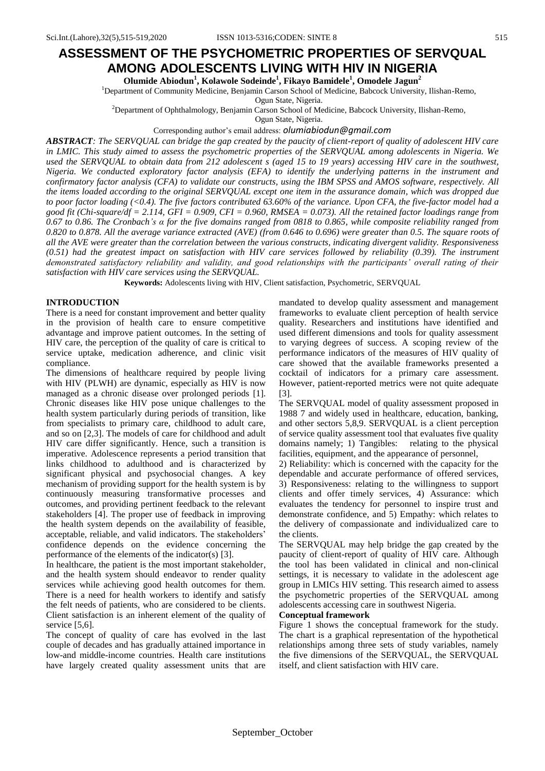# **ASSESSMENT OF THE PSYCHOMETRIC PROPERTIES OF SERVQUAL AMONG ADOLESCENTS LIVING WITH HIV IN NIGERIA**

**Olumide Abiodun<sup>1</sup> , Kolawole Sodeinde<sup>1</sup> , Fikayo Bamidele<sup>1</sup> , Omodele Jagun<sup>2</sup>**

<sup>1</sup>Department of Community Medicine, Benjamin Carson School of Medicine, Babcock University, Ilishan-Remo,

Ogun State, Nigeria.

<sup>2</sup>Department of Ophthalmology, Benjamin Carson School of Medicine, Babcock University, Ilishan-Remo,

Ogun State, Nigeria.

Corresponding author's email address: *[olumiabiodun@gmail.com](mailto:olumiabiodun@gmail.com)*

*ABSTRACT: The SERVQUAL can bridge the gap created by the paucity of client-report of quality of adolescent HIV care in LMIC. This study aimed to assess the psychometric properties of the SERVQUAL among adolescents in Nigeria. We used the SERVQUAL to obtain data from 212 adolescent s (aged 15 to 19 years) accessing HIV care in the southwest, Nigeria. We conducted exploratory factor analysis (EFA) to identify the underlying patterns in the instrument and confirmatory factor analysis (CFA) to validate our constructs, using the IBM SPSS and AMOS software, respectively. All the items loaded according to the original SERVQUAL except one item in the assurance domain, which was dropped due to poor factor loading (<0.4). The five factors contributed 63.60% of the variance. Upon CFA, the five-factor model had a good fit (Chi-square/df = 2.114, GFI = 0.909, CFI = 0.960, RMSEA = 0.073). All the retained factor loadings range from 0.67 to 0.86. The Cronbach's α for the five domains ranged from 0818 to 0.865, while composite reliability ranged from 0.820 to 0.878. All the average variance extracted (AVE) (from 0.646 to 0.696) were greater than 0.5. The square roots of all the AVE were greater than the correlation between the various constructs, indicating divergent validity. Responsiveness (0.51) had the greatest impact on satisfaction with HIV care services followed by reliability (0.39). The instrument demonstrated satisfactory reliability and validity, and good relationships with the participants' overall rating of their satisfaction with HIV care services using the SERVQUAL.*

**Keywords:** Adolescents living with HIV, Client satisfaction, Psychometric, SERVQUAL

#### **INTRODUCTION**

There is a need for constant improvement and better quality in the provision of health care to ensure competitive advantage and improve patient outcomes. In the setting of HIV care, the perception of the quality of care is critical to service uptake, medication adherence, and clinic visit compliance.

The dimensions of healthcare required by people living with HIV (PLWH) are dynamic, especially as HIV is now managed as a chronic disease over prolonged periods [1]. Chronic diseases like HIV pose unique challenges to the health system particularly during periods of transition, like from specialists to primary care, childhood to adult care, and so on [2,3]. The models of care for childhood and adult HIV care differ significantly. Hence, such a transition is imperative. Adolescence represents a period transition that links childhood to adulthood and is characterized by significant physical and psychosocial changes. A key mechanism of providing support for the health system is by continuously measuring transformative processes and outcomes, and providing pertinent feedback to the relevant stakeholders [4]. The proper use of feedback in improving the health system depends on the availability of feasible, acceptable, reliable, and valid indicators. The stakeholders' confidence depends on the evidence concerning the performance of the elements of the indicator(s) [3].

In healthcare, the patient is the most important stakeholder, and the health system should endeavor to render quality services while achieving good health outcomes for them. There is a need for health workers to identify and satisfy the felt needs of patients, who are considered to be clients. Client satisfaction is an inherent element of the quality of service [5,6].

The concept of quality of care has evolved in the last couple of decades and has gradually attained importance in low-and middle-income countries. Health care institutions have largely created quality assessment units that are mandated to develop quality assessment and management frameworks to evaluate client perception of health service quality. Researchers and institutions have identified and used different dimensions and tools for quality assessment to varying degrees of success. A scoping review of the performance indicators of the measures of HIV quality of care showed that the available frameworks presented a cocktail of indicators for a primary care assessment. However, patient-reported metrics were not quite adequate [3].

The SERVQUAL model of quality assessment proposed in 1988 7 and widely used in healthcare, education, banking, and other sectors 5,8,9. SERVQUAL is a client perception of service quality assessment tool that evaluates five quality domains namely; 1) Tangibles: relating to the physical facilities, equipment, and the appearance of personnel,

2) Reliability: which is concerned with the capacity for the dependable and accurate performance of offered services, 3) Responsiveness: relating to the willingness to support clients and offer timely services, 4) Assurance: which evaluates the tendency for personnel to inspire trust and demonstrate confidence, and 5) Empathy: which relates to the delivery of compassionate and individualized care to the clients.

The SERVQUAL may help bridge the gap created by the paucity of client-report of quality of HIV care. Although the tool has been validated in clinical and non-clinical settings, it is necessary to validate in the adolescent age group in LMICs HIV setting. This research aimed to assess the psychometric properties of the SERVQUAL among adolescents accessing care in southwest Nigeria.

#### **Conceptual framework**

Figure 1 shows the conceptual framework for the study. The chart is a graphical representation of the hypothetical relationships among three sets of study variables, namely the five dimensions of the SERVQUAL, the SERVQUAL itself, and client satisfaction with HIV care.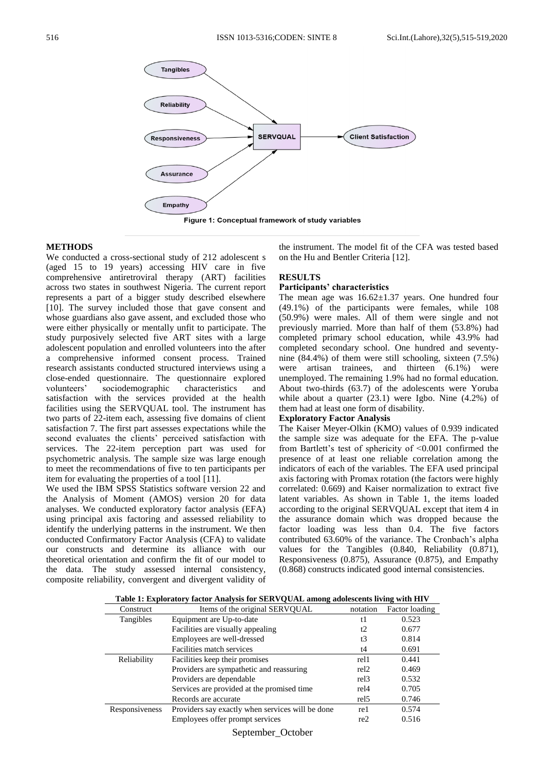

#### **METHODS**

We conducted a cross-sectional study of 212 adolescent s (aged 15 to 19 years) accessing HIV care in five comprehensive antiretroviral therapy (ART) facilities across two states in southwest Nigeria. The current report represents a part of a bigger study described elsewhere [10]. The survey included those that gave consent and whose guardians also gave assent, and excluded those who were either physically or mentally unfit to participate. The study purposively selected five ART sites with a large adolescent population and enrolled volunteers into the after a comprehensive informed consent process. Trained research assistants conducted structured interviews using a close-ended questionnaire. The questionnaire explored volunteers' sociodemographic characteristics and satisfaction with the services provided at the health facilities using the SERVQUAL tool. The instrument has two parts of 22-item each, assessing five domains of client satisfaction 7. The first part assesses expectations while the second evaluates the clients' perceived satisfaction with services. The 22-item perception part was used for psychometric analysis. The sample size was large enough to meet the recommendations of five to ten participants per item for evaluating the properties of a tool [11].

We used the IBM SPSS Statistics software version 22 and the Analysis of Moment (AMOS) version 20 for data analyses. We conducted exploratory factor analysis (EFA) using principal axis factoring and assessed reliability to identify the underlying patterns in the instrument. We then conducted Confirmatory Factor Analysis (CFA) to validate our constructs and determine its alliance with our theoretical orientation and confirm the fit of our model to the data. The study assessed internal consistency, composite reliability, convergent and divergent validity of the instrument. The model fit of the CFA was tested based on the Hu and Bentler Criteria [12].

## **RESULTS**

#### **Participants' characteristics**

The mean age was  $16.62 \pm 1.37$  years. One hundred four (49.1%) of the participants were females, while 108 (50.9%) were males. All of them were single and not previously married. More than half of them (53.8%) had completed primary school education, while 43.9% had completed secondary school. One hundred and seventynine (84.4%) of them were still schooling, sixteen (7.5%) were artisan trainees, and thirteen (6.1%) were unemployed. The remaining 1.9% had no formal education. About two-thirds (63.7) of the adolescents were Yoruba while about a quarter (23.1) were Igbo. Nine (4.2%) of them had at least one form of disability.

#### **Exploratory Factor Analysis**

The Kaiser Meyer-Olkin (KMO) values of 0.939 indicated the sample size was adequate for the EFA. The p-value from Bartlett's test of sphericity of <0.001 confirmed the presence of at least one reliable correlation among the indicators of each of the variables. The EFA used principal axis factoring with Promax rotation (the factors were highly correlated: 0.669) and Kaiser normalization to extract five latent variables. As shown in Table 1, the items loaded according to the original SERVQUAL except that item 4 in the assurance domain which was dropped because the factor loading was less than 0.4. The five factors contributed 63.60% of the variance. The Cronbach's alpha values for the Tangibles (0.840, Reliability (0.871), Responsiveness (0.875), Assurance (0.875), and Empathy (0.868) constructs indicated good internal consistencies.

**Table 1: Exploratory factor Analysis for SERVQUAL among adolescents living with HIV**

| $\sim$ 0.112 millions, muoleover.<br>. |                                                              |                  |       |  |  |  |  |  |
|----------------------------------------|--------------------------------------------------------------|------------------|-------|--|--|--|--|--|
| Construct                              | Items of the original SERVQUAL<br>Factor loading<br>notation |                  |       |  |  |  |  |  |
| Tangibles                              | Equipment are Up-to-date                                     | t1               | 0.523 |  |  |  |  |  |
|                                        | Facilities are visually appealing                            | t2               | 0.677 |  |  |  |  |  |
|                                        | Employees are well-dressed                                   | t3               | 0.814 |  |  |  |  |  |
|                                        | Facilities match services                                    | t4               | 0.691 |  |  |  |  |  |
| Reliability                            | Facilities keep their promises                               | rel1             | 0.441 |  |  |  |  |  |
|                                        | Providers are sympathetic and reassuring                     | rel <sub>2</sub> | 0.469 |  |  |  |  |  |
|                                        | Providers are dependable                                     | rel <sub>3</sub> | 0.532 |  |  |  |  |  |
|                                        | Services are provided at the promised time                   | rel <sub>4</sub> | 0.705 |  |  |  |  |  |
|                                        | Records are accurate                                         | rel <sub>5</sub> | 0.746 |  |  |  |  |  |
| Responsiveness                         | Providers say exactly when services will be done             | re1              | 0.574 |  |  |  |  |  |
|                                        | Employees offer prompt services                              | re2              | 0.516 |  |  |  |  |  |
|                                        |                                                              |                  |       |  |  |  |  |  |

September\_October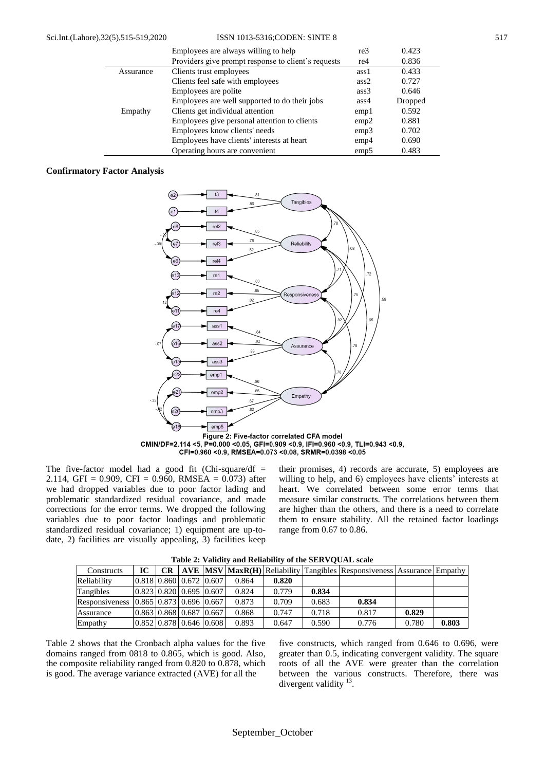|           | Employees are always willing to help                | re3              | 0.423   |
|-----------|-----------------------------------------------------|------------------|---------|
|           | Providers give prompt response to client's requests | re4              | 0.836   |
| Assurance | Clients trust employees                             | ass1             | 0.433   |
|           | Clients feel safe with employees                    | ass2             | 0.727   |
|           | Employees are polite                                | ass3             | 0.646   |
|           | Employees are well supported to do their jobs       | ass4             | Dropped |
| Empathy   | Clients get individual attention                    | emp <sub>1</sub> | 0.592   |
|           | Employees give personal attention to clients        | emp2             | 0.881   |
|           | Employees know clients' needs                       | emp3             | 0.702   |
|           | Employees have clients' interests at heart          | emp4             | 0.690   |
|           | Operating hours are convenient                      | emp5             | 0.483   |

### **Confirmatory Factor Analysis**



Figure 2: Five-factor correlated CFA model CMIN/DF=2.114 <5, P=0.000 <0.05, GFI=0.909 <0.9, IFI=0.960 <0.9, TLI=0.943 <0.9, CFI=0.960 < 0.9, RMSEA=0.073 < 0.08, SRMR=0.0398 < 0.05

The five-factor model had a good fit (Chi-square/df  $=$ 2.114, GFI = 0.909, CFI = 0.960, RMSEA = 0.073) after we had dropped variables due to poor factor lading and problematic standardized residual covariance, and made corrections for the error terms. We dropped the following variables due to poor factor loadings and problematic standardized residual covariance; 1) equipment are up-todate, 2) facilities are visually appealing, 3) facilities keep

their promises, 4) records are accurate, 5) employees are willing to help, and 6) employees have clients' interests at heart. We correlated between some error terms that measure similar constructs. The correlations between them are higher than the others, and there is a need to correlate them to ensure stability. All the retained factor loadings range from 0.67 to 0.86.

| Tuble 20 Tundlet and Itellability of the blirty Centre beare |     |  |  |                                                                                                                                          |                                                         |       |       |       |                                                                                      |  |  |
|--------------------------------------------------------------|-----|--|--|------------------------------------------------------------------------------------------------------------------------------------------|---------------------------------------------------------|-------|-------|-------|--------------------------------------------------------------------------------------|--|--|
| IС                                                           | CR. |  |  |                                                                                                                                          |                                                         |       |       |       |                                                                                      |  |  |
|                                                              |     |  |  | 0.864                                                                                                                                    | 0.820                                                   |       |       |       |                                                                                      |  |  |
|                                                              |     |  |  | 0.824                                                                                                                                    | 0.779                                                   | 0.834 |       |       |                                                                                      |  |  |
|                                                              |     |  |  | 0.873                                                                                                                                    | 0.709                                                   | 0.683 | 0.834 |       |                                                                                      |  |  |
|                                                              |     |  |  | 0.868                                                                                                                                    | 0.747                                                   | 0.718 | 0.817 | 0.829 |                                                                                      |  |  |
|                                                              |     |  |  | 0.893                                                                                                                                    | 0.647                                                   | 0.590 | 0.776 | 0.780 | 0.803                                                                                |  |  |
|                                                              |     |  |  | $0.818$ $0.860$ $0.672$ $0.607$<br>$0.823$ $0.820$ $0.695$ $0.607$<br>Responsiveness 10.86510.87310.69610.667<br>0.863 0.868 0.687 0.667 | $\vert 0.852 \vert 0.878 \vert 0.646 \vert 0.608 \vert$ |       |       |       | AVE   MSV   MaxR(H)   Reliability   Tangibles   Responsiveness   Assurance   Empathy |  |  |

**Table 2: Validity and Reliability of the SERVQUAL scale**

Table 2 shows that the Cronbach alpha values for the five domains ranged from 0818 to 0.865, which is good. Also, the composite reliability ranged from 0.820 to 0.878, which is good. The average variance extracted (AVE) for all the

five constructs, which ranged from 0.646 to 0.696, were greater than 0.5, indicating convergent validity. The square roots of all the AVE were greater than the correlation between the various constructs. Therefore, there was divergent validity  $13$ .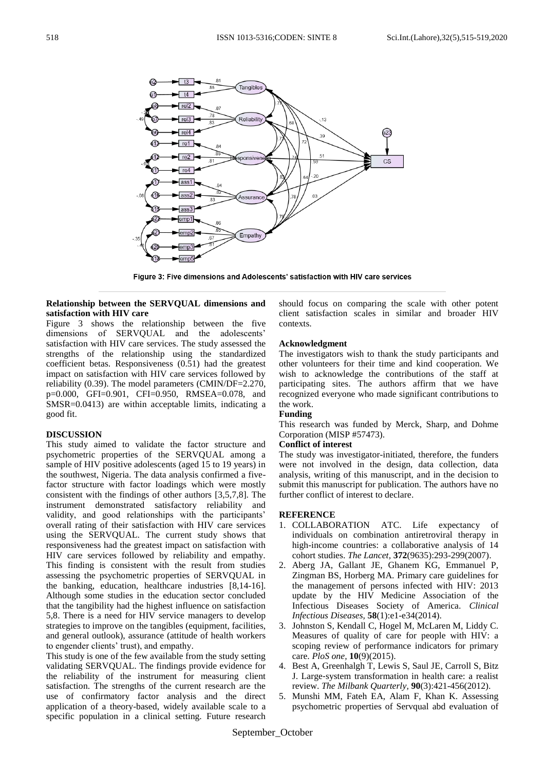

Figure 3: Five dimensions and Adolescents' satisfaction with HIV care services

# **Relationship between the SERVQUAL dimensions and satisfaction with HIV care**

Figure 3 shows the relationship between the five dimensions of SERVQUAL and the adolescents' satisfaction with HIV care services. The study assessed the strengths of the relationship using the standardized coefficient betas. Responsiveness (0.51) had the greatest impact on satisfaction with HIV care services followed by reliability (0.39). The model parameters (CMIN/DF=2.270, p=0.000, GFI=0.901, CFI=0.950, RMSEA=0.078, and SMSR=0.0413) are within acceptable limits, indicating a good fit.

# **DISCUSSION**

This study aimed to validate the factor structure and psychometric properties of the SERVQUAL among a sample of HIV positive adolescents (aged 15 to 19 years) in the southwest, Nigeria. The data analysis confirmed a fivefactor structure with factor loadings which were mostly consistent with the findings of other authors [3,5,7,8]. The instrument demonstrated satisfactory reliability and validity, and good relationships with the participants' overall rating of their satisfaction with HIV care services using the SERVQUAL. The current study shows that responsiveness had the greatest impact on satisfaction with HIV care services followed by reliability and empathy. This finding is consistent with the result from studies assessing the psychometric properties of SERVQUAL in the banking, education, healthcare industries [8,14-16]. Although some studies in the education sector concluded that the tangibility had the highest influence on satisfaction 5,8. There is a need for HIV service managers to develop strategies to improve on the tangibles (equipment, facilities, and general outlook), assurance (attitude of health workers to engender clients' trust), and empathy.

This study is one of the few available from the study setting validating SERVQUAL. The findings provide evidence for the reliability of the instrument for measuring client satisfaction. The strengths of the current research are the use of confirmatory factor analysis and the direct application of a theory-based, widely available scale to a specific population in a clinical setting. Future research

should focus on comparing the scale with other potent client satisfaction scales in similar and broader HIV contexts.

# **Acknowledgment**

The investigators wish to thank the study participants and other volunteers for their time and kind cooperation. We wish to acknowledge the contributions of the staff at participating sites. The authors affirm that we have recognized everyone who made significant contributions to the work.

# **Funding**

This research was funded by Merck, Sharp, and Dohme Corporation (MISP #57473).

# **Conflict of interest**

The study was investigator-initiated, therefore, the funders were not involved in the design, data collection, data analysis, writing of this manuscript, and in the decision to submit this manuscript for publication. The authors have no further conflict of interest to declare.

# **REFERENCE**

- 1. COLLABORATION ATC. Life expectancy of individuals on combination antiretroviral therapy in high-income countries: a collaborative analysis of 14 cohort studies. *The Lancet,* **372**(9635):293-299(2007).
- 2. Aberg JA, Gallant JE, Ghanem KG, Emmanuel P, Zingman BS, Horberg MA. Primary care guidelines for the management of persons infected with HIV: 2013 update by the HIV Medicine Association of the Infectious Diseases Society of America. *Clinical Infectious Diseases,* **58**(1):e1-e34(2014).
- 3. Johnston S, Kendall C, Hogel M, McLaren M, Liddy C. Measures of quality of care for people with HIV: a scoping review of performance indicators for primary care. *PloS one,* **10**(9)(2015).
- 4. Best A, Greenhalgh T, Lewis S, Saul JE, Carroll S, Bitz J. Large‐system transformation in health care: a realist review. *The Milbank Quarterly,* **90**(3):421-456(2012).
- 5. Munshi MM, Fateh EA, Alam F, Khan K. Assessing psychometric properties of Servqual abd evaluation of